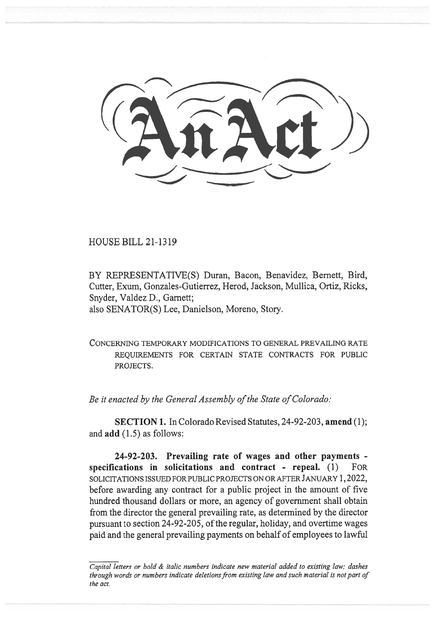HOUSE BILL 21-1319

BY REPRESENTATIVE(S) Duran, Bacon, Benavidez, Bernett, Bird, Cutter, Exum, Gonzales-Gutierrez, Herod, Jackson, Mullica, Ortiz, Ricks, Snyder, Valdez D., Garnett; also SENATOR(S) Lee, Danielson, Moreno, Story.

CONCERNING TEMPORARY MODIFICATIONS TO GENERAL PREVAILING RATE REQUIREMENTS FOR CERTAIN STATE CONTRACTS FOR PUBLIC PROJECTS.

Be it enacted by the General Assembly of the State of Colorado:

SECTION 1. In Colorado Revised Statutes, 24-92-203, amend (1); and add (1.5) as follows:

24-92-203. Prevailing rate of wages and other payments specifications in solicitations and contract - repeal. (1) FOR SOLICITATIONS ISSUED FOR PUBLIC PROJECTS ON OR AFTER JANUARY 1, 2022, before awarding any contract for a public project in the amount of five hundred thousand dollars or more, an agency of government shall obtain from the director the general prevailing rate, as determined by the director pursuant to section 24-92-205, of the regular, holiday, and overtime wages paid and the general prevailing payments on behalf of employees to lawful

Capital letters or bold & italic numbers indicate new material added to existing law; dashes through words or numbers indicate deletions from existing law and such material is not part of the act.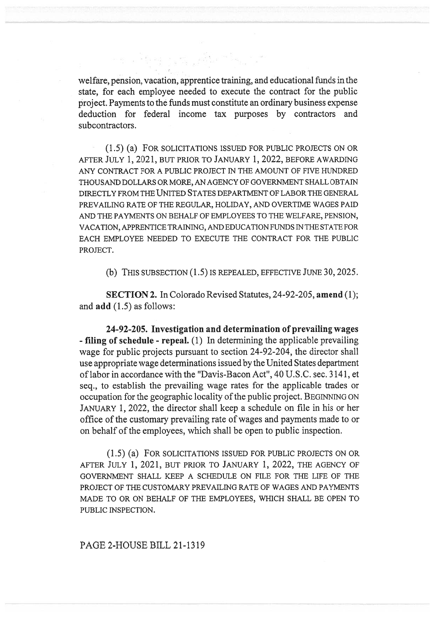welfare, pension, vacation, apprentice training, and educational funds in the state, for each employee needed to execute the contract for the public project. Payments to the funds must constitute an ordinary business expense deduction for federal income tax purposes by contractors and subcontractors.

a sa sa taon na mga sa

(1.5) (a) FOR SOLICITATIONS ISSUED FOR PUBLIC PROJECTS ON OR AFTER JULY 1, 2021, BUT PRIOR TO JANUARY 1, 2022, BEFORE AWARDING ANY CONTRACT FOR A PUBLIC PROJECT IN THE AMOUNT OF FIVE HUNDRED THOUSAND DOLLARS OR MORE, AN AGENCY OF GOVERNMENT SHALL OBTAIN DIRECTLY FROM THE UNITED STATES DEPARTMENT OF LABOR THE GENERAL PREVAILING RATE OF THE REGULAR, HOLIDAY, AND OVERTIME WAGES PAID AND THE PAYMENTS ON BEHALF OF EMPLOYEES TO THE WELFARE, PENSION, VACATION, APPRENTICE TRAINING, AND EDUCATION FUNDS IN THE STATE FOR EACH EMPLOYEE NEEDED TO EXECUTE THE CONTRACT FOR THE PUBLIC PROJECT.

(b) THIS SUBSECTION (1.5) IS REPEALED, EFFECTIVE JUNE 30, 2025.

SECTION 2. In Colorado Revised Statutes, 24-92-205, amend (1); and add (1.5) as follows:

24-92-205. Investigation and determination of prevailing wages - filing of schedule - repeal. (1) In determining the applicable prevailing wage for public projects pursuant to section 24-92-204, the director shall use appropriate wage determinations issued by the United States department of labor in accordance with the "Davis-Bacon Act", 40 U.S.C. sec. 3141, et seq., to establish the prevailing wage rates for the applicable trades or occupation for the geographic locality of the public project. BEGINNING ON JANUARY 1, 2022, the director shall keep a schedule on file in his or her office of the customary prevailing rate of wages and payments made to or on behalf of the employees, which shall be open to public inspection.

(1.5) (a) FOR SOLICITATIONS ISSUED FOR PUBLIC PROJECTS ON OR AFTER JULY 1, 2021, BUT PRIOR TO JANUARY 1, 2022, THE AGENCY OF GOVERNMENT SHALL KEEP A SCHEDULE ON FILE FOR THE LIFE OF THE PROJECT OF THE CUSTOMARY PREVAILING RATE OF WAGES AND PAYMENTS MADE TO OR ON BEHALF OF THE EMPLOYEES, WHICH SHALL BE OPEN TO PUBLIC INSPECTION.

PAGE 2-HOUSE BILL 21-1319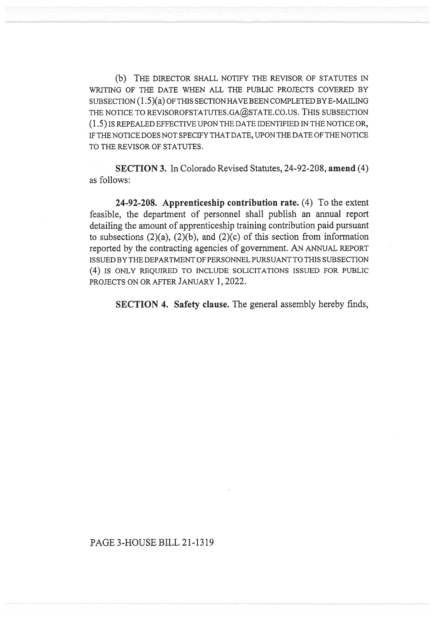(b) THE DIRECTOR SHALL NOTIFY THE REVISOR OF STATUTES IN WRITING OF THE DATE WHEN ALL THE PUBLIC PROJECTS COVERED BY SUBSECTION (1.5)(a) OF THIS SECTION HAVE BEEN COMPLETED BY E-MAILING THE NOTICE TO REVISOROFSTATUTES.GA@STATE.CO.US. THIS SUBSECTION (1.5) IS REPEALED EFFECTIVE UPON THE DATE IDENTIFIED IN THE NOTICE OR, IF THE NOTICE DOES NOT SPECIFY THAT DATE, UPON THE DATE OF THE NOTICE TO THE REVISOR OF STATUTES.

SECTION 3. In Colorado Revised Statutes, 24-92-208, amend (4) as follows:

24-92-208. Apprenticeship contribution rate. (4) To the extent feasible, the department of personnel shall publish an annual report detailing the amount of apprenticeship training contribution paid pursuant to subsections  $(2)(a)$ ,  $(2)(b)$ , and  $(2)(c)$  of this section from information reported by the contracting agencies of government. AN ANNUAL REPORT ISSUED BY THE DEPARTMENT OF PERSONNEL PURSUANT TO THIS SUBSECTION (4) IS ONLY REQUIRED TO INCLUDE SOLICITATIONS ISSUED FOR PUBLIC PROJECTS ON OR AFTER JANUARY 1, 2022.

SECTION 4. Safety clause. The general assembly hereby finds,

## PAGE 3-HOUSE BILL 21-1319